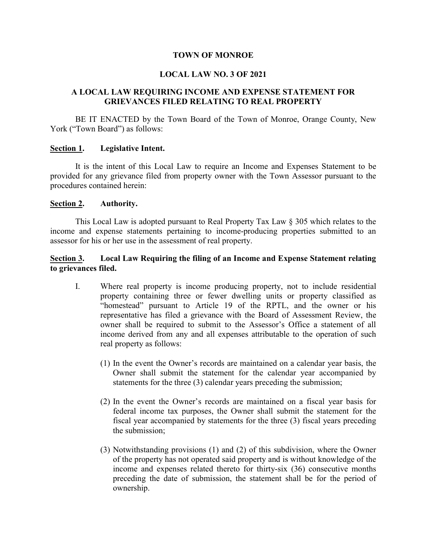### TOWN OF MONROE

### LOCAL LAW NO. 3 OF 2021

## A LOCAL LAW REQUIRING INCOME AND EXPENSE STATEMENT FOR GRIEVANCES FILED RELATING TO REAL PROPERTY

BE IT ENACTED by the Town Board of the Town of Monroe, Orange County, New York ("Town Board") as follows:

### Section 1. Legislative Intent.

It is the intent of this Local Law to require an Income and Expenses Statement to be provided for any grievance filed from property owner with the Town Assessor pursuant to the procedures contained herein:

### Section 2. Authority.

This Local Law is adopted pursuant to Real Property Tax Law § 305 which relates to the income and expense statements pertaining to income-producing properties submitted to an assessor for his or her use in the assessment of real property.

## Section 3. Local Law Requiring the filing of an Income and Expense Statement relating to grievances filed.

- I. Where real property is income producing property, not to include residential property containing three or fewer dwelling units or property classified as "homestead" pursuant to Article 19 of the RPTL, and the owner or his representative has filed a grievance with the Board of Assessment Review, the owner shall be required to submit to the Assessor's Office a statement of all income derived from any and all expenses attributable to the operation of such real property as follows:
	- (1) In the event the Owner's records are maintained on a calendar year basis, the Owner shall submit the statement for the calendar year accompanied by statements for the three (3) calendar years preceding the submission;
	- (2) In the event the Owner's records are maintained on a fiscal year basis for federal income tax purposes, the Owner shall submit the statement for the fiscal year accompanied by statements for the three (3) fiscal years preceding the submission;
	- (3) Notwithstanding provisions (1) and (2) of this subdivision, where the Owner of the property has not operated said property and is without knowledge of the income and expenses related thereto for thirty-six (36) consecutive months preceding the date of submission, the statement shall be for the period of ownership.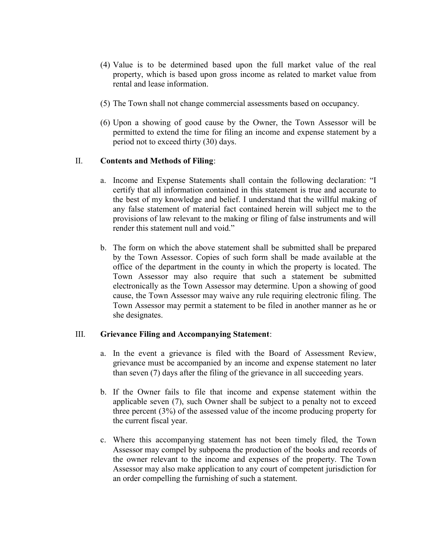- (4) Value is to be determined based upon the full market value of the real property, which is based upon gross income as related to market value from rental and lease information.
- (5) The Town shall not change commercial assessments based on occupancy.
- (6) Upon a showing of good cause by the Owner, the Town Assessor will be permitted to extend the time for filing an income and expense statement by a period not to exceed thirty (30) days.

## II. Contents and Methods of Filing:

- a. Income and Expense Statements shall contain the following declaration: "I certify that all information contained in this statement is true and accurate to the best of my knowledge and belief. I understand that the willful making of any false statement of material fact contained herein will subject me to the provisions of law relevant to the making or filing of false instruments and will render this statement null and void."
- b. The form on which the above statement shall be submitted shall be prepared by the Town Assessor. Copies of such form shall be made available at the office of the department in the county in which the property is located. The Town Assessor may also require that such a statement be submitted electronically as the Town Assessor may determine. Upon a showing of good cause, the Town Assessor may waive any rule requiring electronic filing. The Town Assessor may permit a statement to be filed in another manner as he or she designates.

## III. Grievance Filing and Accompanying Statement:

- a. In the event a grievance is filed with the Board of Assessment Review, grievance must be accompanied by an income and expense statement no later than seven (7) days after the filing of the grievance in all succeeding years.
- b. If the Owner fails to file that income and expense statement within the applicable seven (7), such Owner shall be subject to a penalty not to exceed three percent (3%) of the assessed value of the income producing property for the current fiscal year.
- c. Where this accompanying statement has not been timely filed, the Town Assessor may compel by subpoena the production of the books and records of the owner relevant to the income and expenses of the property. The Town Assessor may also make application to any court of competent jurisdiction for an order compelling the furnishing of such a statement.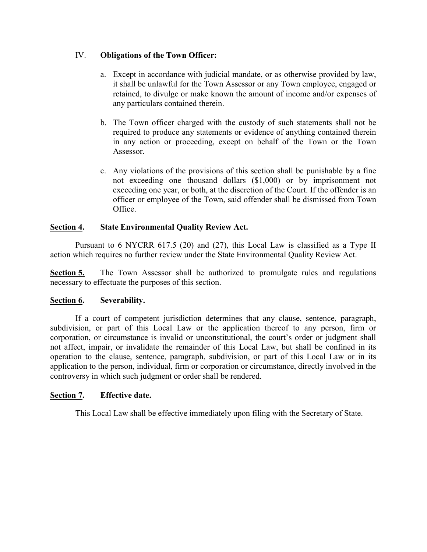# IV. Obligations of the Town Officer:

- a. Except in accordance with judicial mandate, or as otherwise provided by law, it shall be unlawful for the Town Assessor or any Town employee, engaged or retained, to divulge or make known the amount of income and/or expenses of any particulars contained therein.
- b. The Town officer charged with the custody of such statements shall not be required to produce any statements or evidence of anything contained therein in any action or proceeding, except on behalf of the Town or the Town Assessor.
- c. Any violations of the provisions of this section shall be punishable by a fine not exceeding one thousand dollars (\$1,000) or by imprisonment not exceeding one year, or both, at the discretion of the Court. If the offender is an officer or employee of the Town, said offender shall be dismissed from Town Office.

## Section 4. State Environmental Quality Review Act.

Pursuant to 6 NYCRR 617.5 (20) and (27), this Local Law is classified as a Type II action which requires no further review under the State Environmental Quality Review Act.

Section 5. The Town Assessor shall be authorized to promulgate rules and regulations necessary to effectuate the purposes of this section.

# Section 6. Severability.

If a court of competent jurisdiction determines that any clause, sentence, paragraph, subdivision, or part of this Local Law or the application thereof to any person, firm or corporation, or circumstance is invalid or unconstitutional, the court's order or judgment shall not affect, impair, or invalidate the remainder of this Local Law, but shall be confined in its operation to the clause, sentence, paragraph, subdivision, or part of this Local Law or in its application to the person, individual, firm or corporation or circumstance, directly involved in the controversy in which such judgment or order shall be rendered.

# Section 7. Effective date.

This Local Law shall be effective immediately upon filing with the Secretary of State.